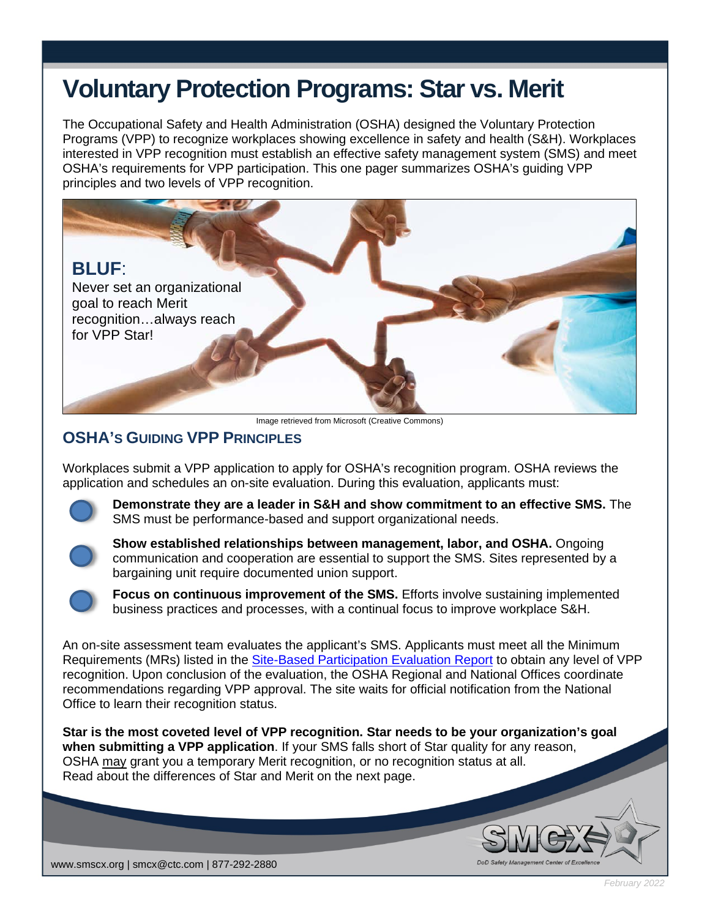## **Voluntary Protection Programs: Star vs. Merit**

The Occupational Safety and Health Administration (OSHA) designed the Voluntary Protection Programs (VPP) to recognize workplaces showing excellence in safety and health (S&H). Workplaces interested in VPP recognition must establish an effective safety management system (SMS) and meet OSHA's requirements for VPP participation. This one pager summarizes OSHA's guiding VPP principles and two levels of VPP recognition.



Image retrieved from Microsoft (Creative Commons)

## **OSHA'S GUIDING VPP PRINCIPLES**

Workplaces submit a VPP application to apply for OSHA's recognition program. OSHA reviews the application and schedules an on-site evaluation. During this evaluation, applicants must:



**Demonstrate they are a leader in S&H and show commitment to an effective SMS.** The SMS must be performance-based and support organizational needs.



**Show established relationships between management, labor, and OSHA.** Ongoing communication and cooperation are essential to support the SMS. Sites represented by a bargaining unit require documented union support.



**Focus on continuous improvement of the SMS.** Efforts involve sustaining implemented business practices and processes, with a continual focus to improve workplace S&H.

An on-site assessment team evaluates the applicant's SMS. Applicants must meet all the Minimum Requirements (MRs) listed in the [Site-Based Participation Evaluation Report](https://www.osha.gov/vpp/site-based-report) to obtain any level of VPP recognition. Upon conclusion of the evaluation, the OSHA Regional and National Offices coordinate recommendations regarding VPP approval. The site waits for official notification from the National Office to learn their recognition status.

**Star is the most coveted level of VPP recognition. Star needs to be your organization's goal when submitting a VPP application**. If your SMS falls short of Star quality for any reason, OSHA may grant you a temporary Merit recognition, or no recognition status at all. Read about the differences of Star and Merit on the next page.



*February 2022*